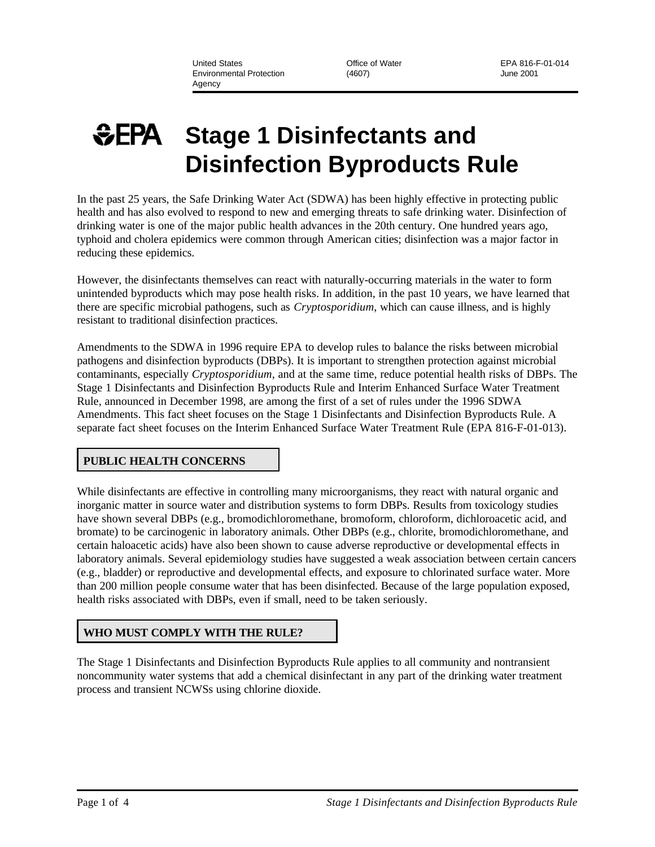United States Office of Water EPA 816-F-01-014 Environmental Protection (4607) June 2001 Agency

# **Stage 1 Disinfectants and Disinfection Byproducts Rule**

In the past 25 years, the Safe Drinking Water Act (SDWA) has been highly effective in protecting public health and has also evolved to respond to new and emerging threats to safe drinking water. Disinfection of drinking water is one of the major public health advances in the 20th century. One hundred years ago, typhoid and cholera epidemics were common through American cities; disinfection was a major factor in reducing these epidemics.

However, the disinfectants themselves can react with naturally-occurring materials in the water to form unintended byproducts which may pose health risks. In addition, in the past 10 years, we have learned that there are specific microbial pathogens, such as *Cryptosporidium*, which can cause illness, and is highly resistant to traditional disinfection practices.

Amendments to the SDWA in 1996 require EPA to develop rules to balance the risks between microbial pathogens and disinfection byproducts (DBPs). It is important to strengthen protection against microbial contaminants, especially *Cryptosporidium*, and at the same time, reduce potential health risks of DBPs. The Stage 1 Disinfectants and Disinfection Byproducts Rule and Interim Enhanced Surface Water Treatment Rule, announced in December 1998, are among the first of a set of rules under the 1996 SDWA Amendments. This fact sheet focuses on the Stage 1 Disinfectants and Disinfection Byproducts Rule. A separate fact sheet focuses on the Interim Enhanced Surface Water Treatment Rule (EPA 816-F-01-013).

# **PUBLIC HEALTH CONCERNS**

While disinfectants are effective in controlling many microorganisms, they react with natural organic and inorganic matter in source water and distribution systems to form DBPs. Results from toxicology studies have shown several DBPs (e.g., bromodichloromethane, bromoform, chloroform, dichloroacetic acid, and bromate) to be carcinogenic in laboratory animals. Other DBPs (e.g., chlorite, bromodichloromethane, and certain haloacetic acids) have also been shown to cause adverse reproductive or developmental effects in laboratory animals. Several epidemiology studies have suggested a weak association between certain cancers (e.g., bladder) or reproductive and developmental effects, and exposure to chlorinated surface water. More than 200 million people consume water that has been disinfected. Because of the large population exposed, health risks associated with DBPs, even if small, need to be taken seriously.

# **WHO MUST COMPLY WITH THE RULE?**

The Stage 1 Disinfectants and Disinfection Byproducts Rule applies to all community and nontransient noncommunity water systems that add a chemical disinfectant in any part of the drinking water treatment process and transient NCWSs using chlorine dioxide.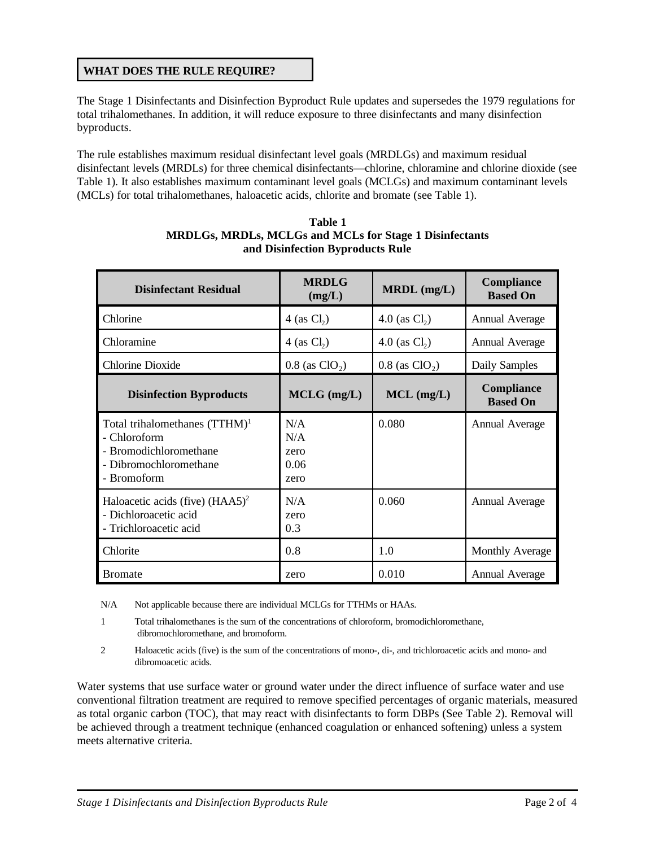## **WHAT DOES THE RULE REQUIRE?**

The Stage 1 Disinfectants and Disinfection Byproduct Rule updates and supersedes the 1979 regulations for total trihalomethanes. In addition, it will reduce exposure to three disinfectants and many disinfection byproducts.

The rule establishes maximum residual disinfectant level goals (MRDLGs) and maximum residual disinfectant levels (MRDLs) for three chemical disinfectants—chlorine, chloramine and chlorine dioxide (see Table 1). It also establishes maximum contaminant level goals (MCLGs) and maximum contaminant levels (MCLs) for total trihalomethanes, haloacetic acids, chlorite and bromate (see Table 1).

| <b>Disinfectant Residual</b>                                                                                        | <b>MRDLG</b><br>(mg/L)             | $MRDL$ (mg/L)                | Compliance<br><b>Based On</b> |
|---------------------------------------------------------------------------------------------------------------------|------------------------------------|------------------------------|-------------------------------|
| Chlorine                                                                                                            | 4 (as $Cl2$ )                      | 4.0 (as $Cl_2$ )             | <b>Annual Average</b>         |
| Chloramine                                                                                                          | 4 (as $Cl2$ )                      | 4.0 (as $Cl_2$ )             | <b>Annual Average</b>         |
| Chlorine Dioxide                                                                                                    | $0.8$ (as ClO <sub>2</sub> )       | $0.8$ (as ClO <sub>2</sub> ) | Daily Samples                 |
| <b>Disinfection Byproducts</b>                                                                                      | $MCLG$ (mg/L)                      | $MCL$ (mg/L)                 | Compliance<br><b>Based On</b> |
| Total trihalomethanes $(TTHM)^1$<br>- Chloroform<br>- Bromodichloromethane<br>- Dibromochloromethane<br>- Bromoform | N/A<br>N/A<br>zero<br>0.06<br>zero | 0.080                        | <b>Annual Average</b>         |
| Haloacetic acids (five) $(HAA5)^2$<br>- Dichloroacetic acid<br>- Trichloroacetic acid                               | N/A<br>zero<br>0.3                 | 0.060                        | <b>Annual Average</b>         |
| Chlorite                                                                                                            | 0.8                                | 1.0                          | <b>Monthly Average</b>        |
| <b>Bromate</b>                                                                                                      | zero                               | 0.010                        | <b>Annual Average</b>         |

| Table 1                                                        |  |  |  |  |
|----------------------------------------------------------------|--|--|--|--|
| <b>MRDLGs, MRDLs, MCLGs and MCLs for Stage 1 Disinfectants</b> |  |  |  |  |
| and Disinfection Byproducts Rule                               |  |  |  |  |

N/A Not applicable because there are individual MCLGs for TTHMs or HAAs.

- 1 Total trihalomethanes is the sum of the concentrations of chloroform, bromodichloromethane, dibromochloromethane, and bromoform.
- 2 Haloacetic acids (five) is the sum of the concentrations of mono-, di-, and trichloroacetic acids and mono- and dibromoacetic acids.

Water systems that use surface water or ground water under the direct influence of surface water and use conventional filtration treatment are required to remove specified percentages of organic materials, measured as total organic carbon (TOC), that may react with disinfectants to form DBPs (See Table 2). Removal will be achieved through a treatment technique (enhanced coagulation or enhanced softening) unless a system meets alternative criteria.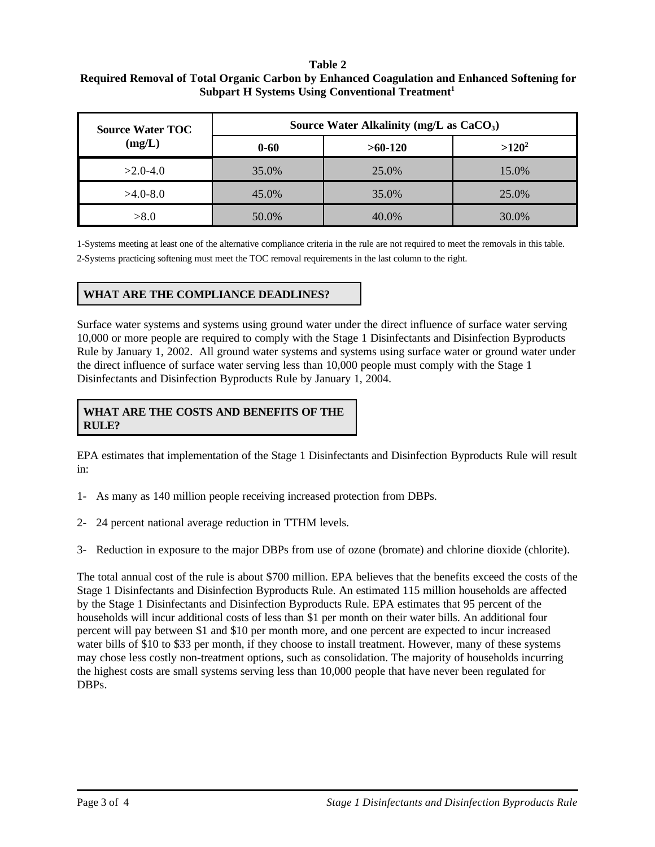#### **Table 2 Required Removal of Total Organic Carbon by Enhanced Coagulation and Enhanced Softening for Subpart H Systems Using Conventional Treatment<sup>1</sup>**

| <b>Source Water TOC</b> | Source Water Alkalinity (mg/L as $CaCO3$ ) |           |          |  |
|-------------------------|--------------------------------------------|-----------|----------|--|
| (mg/L)                  | $0 - 60$                                   | $>60-120$ | $>120^2$ |  |
| $>2.0-4.0$              | 35.0%                                      | 25.0%     | 15.0%    |  |
| $>4.0-8.0$              | 45.0%                                      | 35.0%     | 25.0%    |  |
| > 8.0                   | 50.0%                                      | 40.0%     | 30.0%    |  |

1-Systems meeting at least one of the alternative compliance criteria in the rule are not required to meet the removals in this table. 2-Systems practicing softening must meet the TOC removal requirements in the last column to the right.

## **WHAT ARE THE COMPLIANCE DEADLINES?**

Surface water systems and systems using ground water under the direct influence of surface water serving 10,000 or more people are required to comply with the Stage 1 Disinfectants and Disinfection Byproducts Rule by January 1, 2002. All ground water systems and systems using surface water or ground water under the direct influence of surface water serving less than 10,000 people must comply with the Stage 1 Disinfectants and Disinfection Byproducts Rule by January 1, 2004.

### **WHAT ARE THE COSTS AND BENEFITS OF THE RULE?**

EPA estimates that implementation of the Stage 1 Disinfectants and Disinfection Byproducts Rule will result in:

- 1- As many as 140 million people receiving increased protection from DBPs.
- 2- 24 percent national average reduction in TTHM levels.
- 3- Reduction in exposure to the major DBPs from use of ozone (bromate) and chlorine dioxide (chlorite).

The total annual cost of the rule is about \$700 million. EPA believes that the benefits exceed the costs of the Stage 1 Disinfectants and Disinfection Byproducts Rule. An estimated 115 million households are affected by the Stage 1 Disinfectants and Disinfection Byproducts Rule. EPA estimates that 95 percent of the households will incur additional costs of less than \$1 per month on their water bills. An additional four percent will pay between \$1 and \$10 per month more, and one percent are expected to incur increased water bills of \$10 to \$33 per month, if they choose to install treatment. However, many of these systems may chose less costly non-treatment options, such as consolidation. The majority of households incurring the highest costs are small systems serving less than 10,000 people that have never been regulated for DBPs.